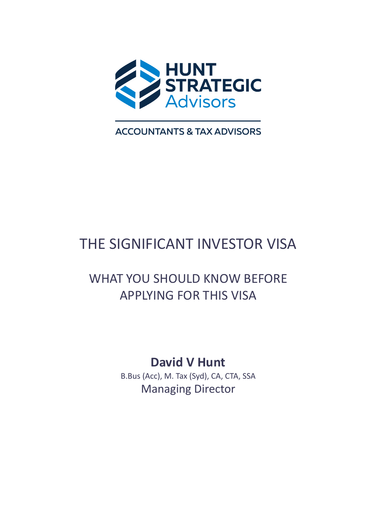

**ACCOUNTANTS & TAX ADVISORS** 

# THE SIGNIFICANT INVESTOR VISA

## WHAT YOU SHOULD KNOW BEFORE APPLYING FOR THIS VISA

## David V Hunt

B.Bus (Acc), M. Tax (Syd), CA, CTA, SSA Managing Director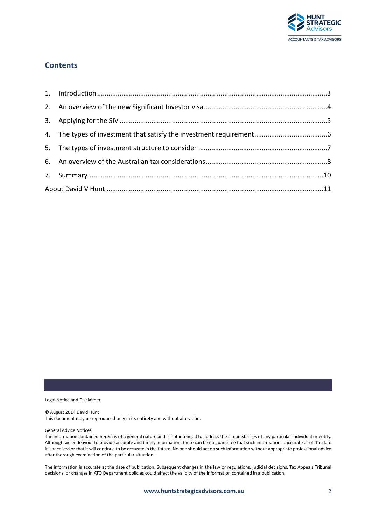

### **Contents**

Legal Notice and Disclaimer

#### © August 2014 David Hunt

This document may be reproduced only in its entirety and without alteration.

#### General Advice Notices

The information contained herein is of a general nature and is not intended to address the circumstances of any particular individual or entity. Although we endeavour to provide accurate and timely information, there can be no guarantee that such information is accurate as of the date it is received or that it will continue to be accurate in the future. No one should act on such information without appropriate professional advice after thorough examination of the particular situation.

The information is accurate at the date of publication. Subsequent changes in the law or regulations, judicial decisions, Tax Appeals Tribunal decisions, or changes in ATO Department policies could affect the validity of the information contained in a publication.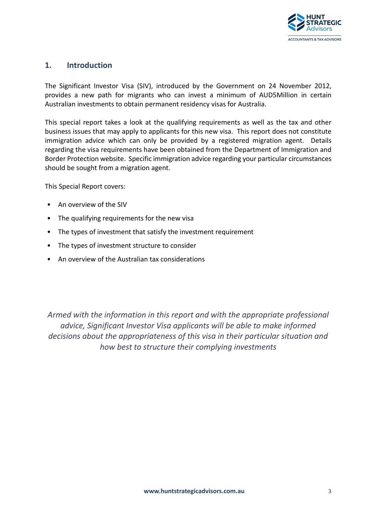

#### 1. Introduction

The Significant Investor Visa (SIV), introduced by the Government on 24 November 2012, provides a new path for migrants who can invest a minimum of AUD5Million in certain Australian investments to obtain permanent residency visas for Australia.

This special report takes a look at the qualifying requirements as well as the tax and other business issues that may apply to applicants for this new visa. This report does not constitute immigration advice which can only be provided by a registered migration agent. Details regarding the visa requirements have been obtained from the Department of Immigration and Border Protection website. Specific immigration advice regarding your particular circumstances should be sought from a migration agent.

This Special Report covers:

- An overview of the SIV
- The qualifying requirements for the new visa
- The types of investment that satisfy the investment requirement
- The types of investment structure to consider
- An overview of the Australian tax considerations

Armed with the information in this report and with the appropriate professional advice, Significant Investor Visa applicants will be able to make informed decisions about the appropriateness of this visa in their particular situation and how best to structure their complying investments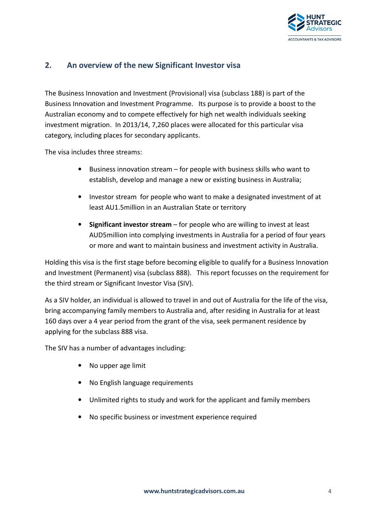

#### 2. An overview of the new Significant Investor visa

The Business Innovation and Investment (Provisional) visa (subclass 188) is part of the Business Innovation and Investment Programme. Its purpose is to provide a boost to the Australian economy and to compete effectively for high net wealth individuals seeking investment migration. In 2013/14, 7,260 places were allocated for this particular visa category, including places for secondary applicants.

The visa includes three streams:

- Business innovation stream for people with business skills who want to establish, develop and manage a new or existing business in Australia;
- Investor stream for people who want to make a designated investment of at least AU1.5million in an Australian State or territory
- Significant investor stream for people who are willing to invest at least AUD5million into complying investments in Australia for a period of four years or more and want to maintain business and investment activity in Australia.

Holding this visa is the first stage before becoming eligible to qualify for a Business Innovation and Investment (Permanent) visa (subclass 888). This report focusses on the requirement for the third stream or Significant Investor Visa (SIV).

As a SIV holder, an individual is allowed to travel in and out of Australia for the life of the visa, bring accompanying family members to Australia and, after residing in Australia for at least 160 days over a 4 year period from the grant of the visa, seek permanent residence by applying for the subclass 888 visa.

The SIV has a number of advantages including:

- No upper age limit
- No English language requirements
- Unlimited rights to study and work for the applicant and family members
- No specific business or investment experience required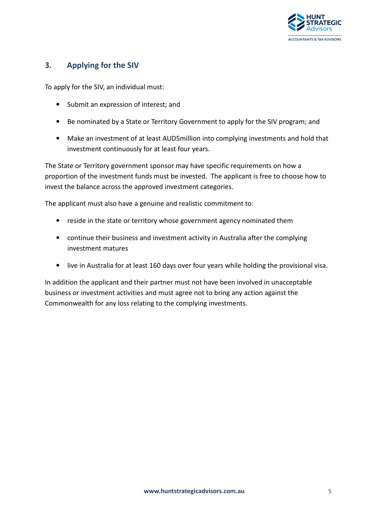

### 3. Applying for the SIV

To apply for the SIV, an individual must:

- Submit an expression of interest; and
- Be nominated by a State or Territory Government to apply for the SIV program; and
- Make an investment of at least AUD5million into complying investments and hold that investment continuously for at least four years.

The State or Territory government sponsor may have specific requirements on how a proportion of the investment funds must be invested. The applicant is free to choose how to invest the balance across the approved investment categories.

The applicant must also have a genuine and realistic commitment to:

- reside in the state or territory whose government agency nominated them
- continue their business and investment activity in Australia after the complying investment matures
- live in Australia for at least 160 days over four years while holding the provisional visa.

In addition the applicant and their partner must not have been involved in unacceptable business or investment activities and must agree not to bring any action against the Commonwealth for any loss relating to the complying investments.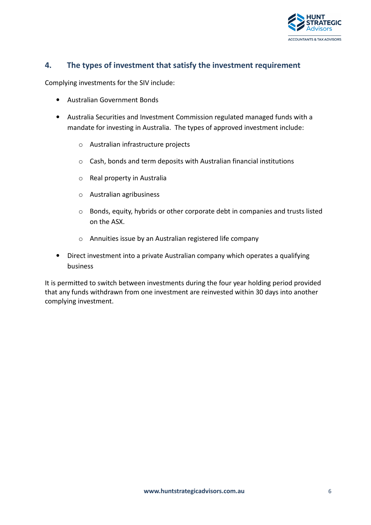

### 4. The types of investment that satisfy the investment requirement

Complying investments for the SIV include:

- Australian Government Bonds
- Australia Securities and Investment Commission regulated managed funds with a mandate for investing in Australia. The types of approved investment include:
	- o Australian infrastructure projects
	- o Cash, bonds and term deposits with Australian financial institutions
	- o Real property in Australia
	- o Australian agribusiness
	- o Bonds, equity, hybrids or other corporate debt in companies and trusts listed on the ASX.
	- o Annuities issue by an Australian registered life company
- Direct investment into a private Australian company which operates a qualifying business

It is permitted to switch between investments during the four year holding period provided that any funds withdrawn from one investment are reinvested within 30 days into another complying investment.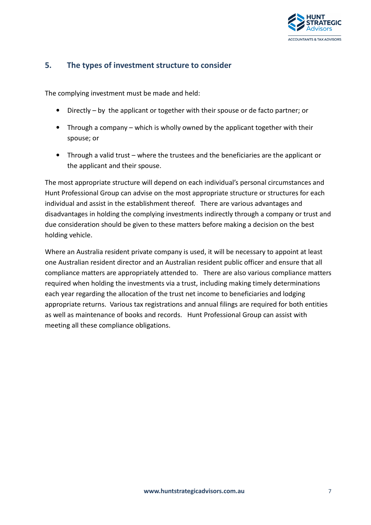

#### 5. The types of investment structure to consider

The complying investment must be made and held:

- Directly by the applicant or together with their spouse or de facto partner; or
- Through a company which is wholly owned by the applicant together with their spouse; or
- Through a valid trust where the trustees and the beneficiaries are the applicant or the applicant and their spouse.

The most appropriate structure will depend on each individual's personal circumstances and Hunt Professional Group can advise on the most appropriate structure or structures for each individual and assist in the establishment thereof. There are various advantages and disadvantages in holding the complying investments indirectly through a company or trust and due consideration should be given to these matters before making a decision on the best holding vehicle.

Where an Australia resident private company is used, it will be necessary to appoint at least one Australian resident director and an Australian resident public officer and ensure that all compliance matters are appropriately attended to. There are also various compliance matters required when holding the investments via a trust, including making timely determinations each year regarding the allocation of the trust net income to beneficiaries and lodging appropriate returns. Various tax registrations and annual filings are required for both entities as well as maintenance of books and records. Hunt Professional Group can assist with meeting all these compliance obligations.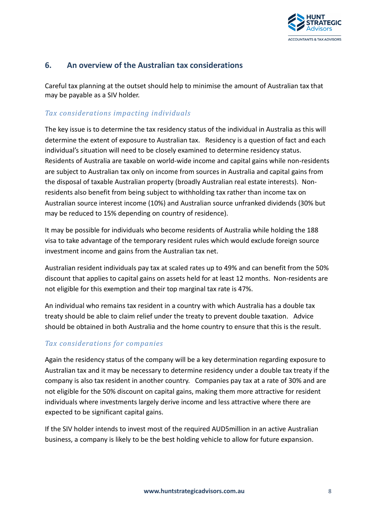

#### 6. An overview of the Australian tax considerations

Careful tax planning at the outset should help to minimise the amount of Australian tax that may be payable as a SIV holder.

#### Tax considerations impacting individuals

The key issue is to determine the tax residency status of the individual in Australia as this will determine the extent of exposure to Australian tax. Residency is a question of fact and each individual's situation will need to be closely examined to determine residency status. Residents of Australia are taxable on world-wide income and capital gains while non-residents are subject to Australian tax only on income from sources in Australia and capital gains from the disposal of taxable Australian property (broadly Australian real estate interests). Nonresidents also benefit from being subject to withholding tax rather than income tax on Australian source interest income (10%) and Australian source unfranked dividends (30% but may be reduced to 15% depending on country of residence).

It may be possible for individuals who become residents of Australia while holding the 188 visa to take advantage of the temporary resident rules which would exclude foreign source investment income and gains from the Australian tax net.

Australian resident individuals pay tax at scaled rates up to 49% and can benefit from the 50% discount that applies to capital gains on assets held for at least 12 months. Non-residents are not eligible for this exemption and their top marginal tax rate is 47%.

An individual who remains tax resident in a country with which Australia has a double tax treaty should be able to claim relief under the treaty to prevent double taxation. Advice should be obtained in both Australia and the home country to ensure that this is the result.

#### Tax considerations for companies

Again the residency status of the company will be a key determination regarding exposure to Australian tax and it may be necessary to determine residency under a double tax treaty if the company is also tax resident in another country. Companies pay tax at a rate of 30% and are not eligible for the 50% discount on capital gains, making them more attractive for resident individuals where investments largely derive income and less attractive where there are expected to be significant capital gains.

If the SIV holder intends to invest most of the required AUD5million in an active Australian business, a company is likely to be the best holding vehicle to allow for future expansion.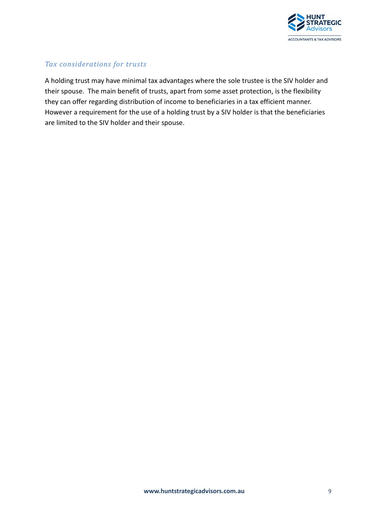

#### Tax considerations for trusts

A holding trust may have minimal tax advantages where the sole trustee is the SIV holder and their spouse. The main benefit of trusts, apart from some asset protection, is the flexibility they can offer regarding distribution of income to beneficiaries in a tax efficient manner. However a requirement for the use of a holding trust by a SIV holder is that the beneficiaries are limited to the SIV holder and their spouse.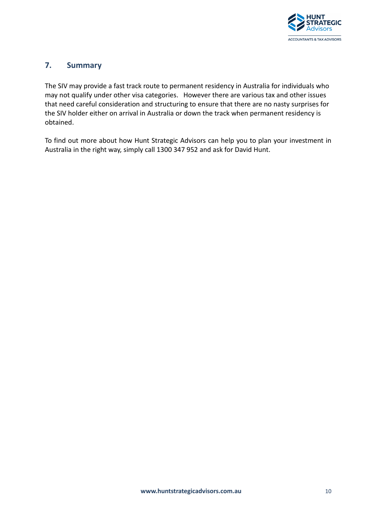

#### 7. Summary

The SIV may provide a fast track route to permanent residency in Australia for individuals who may not qualify under other visa categories. However there are various tax and other issues that need careful consideration and structuring to ensure that there are no nasty surprises for the SIV holder either on arrival in Australia or down the track when permanent residency is obtained.

To find out more about how Hunt Strategic Advisors can help you to plan your investment in Australia in the right way, simply call 1300 347 952 and ask for David Hunt.